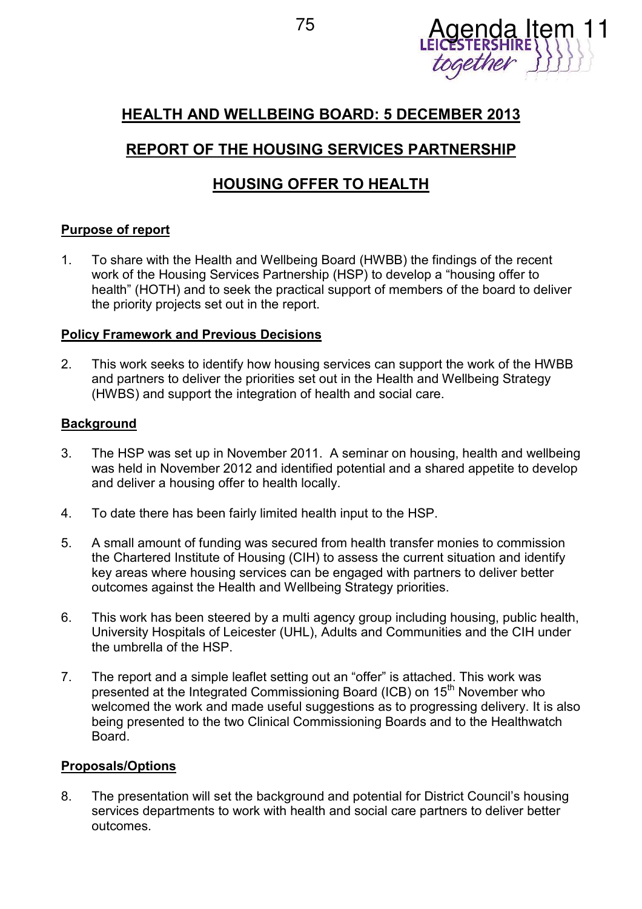

## **HEALTH AND WELLBEING BOARD: 5 DECEMBER 2013**

# **REPORT OF THE HOUSING SERVICES PARTNERSHIP**

## **HOUSING OFFER TO HEALTH**

## **Purpose of report**

1. To share with the Health and Wellbeing Board (HWBB) the findings of the recent work of the Housing Services Partnership (HSP) to develop a "housing offer to health" (HOTH) and to seek the practical support of members of the board to deliver the priority projects set out in the report.

## **Policy Framework and Previous Decisions**

2. This work seeks to identify how housing services can support the work of the HWBB and partners to deliver the priorities set out in the Health and Wellbeing Strategy (HWBS) and support the integration of health and social care.

## **Background**

- 3. The HSP was set up in November 2011. A seminar on housing, health and wellbeing was held in November 2012 and identified potential and a shared appetite to develop and deliver a housing offer to health locally.
- 4. To date there has been fairly limited health input to the HSP.
- 5. A small amount of funding was secured from health transfer monies to commission the Chartered Institute of Housing (CIH) to assess the current situation and identify key areas where housing services can be engaged with partners to deliver better outcomes against the Health and Wellbeing Strategy priorities.
- 6. This work has been steered by a multi agency group including housing, public health, University Hospitals of Leicester (UHL), Adults and Communities and the CIH under the umbrella of the HSP.
- 7. The report and a simple leaflet setting out an "offer" is attached. This work was presented at the Integrated Commissioning Board (ICB) on 15<sup>th</sup> November who welcomed the work and made useful suggestions as to progressing delivery. It is also being presented to the two Clinical Commissioning Boards and to the Healthwatch Board.

## **Proposals/Options**

8. The presentation will set the background and potential for District Council's housing services departments to work with health and social care partners to deliver better outcomes.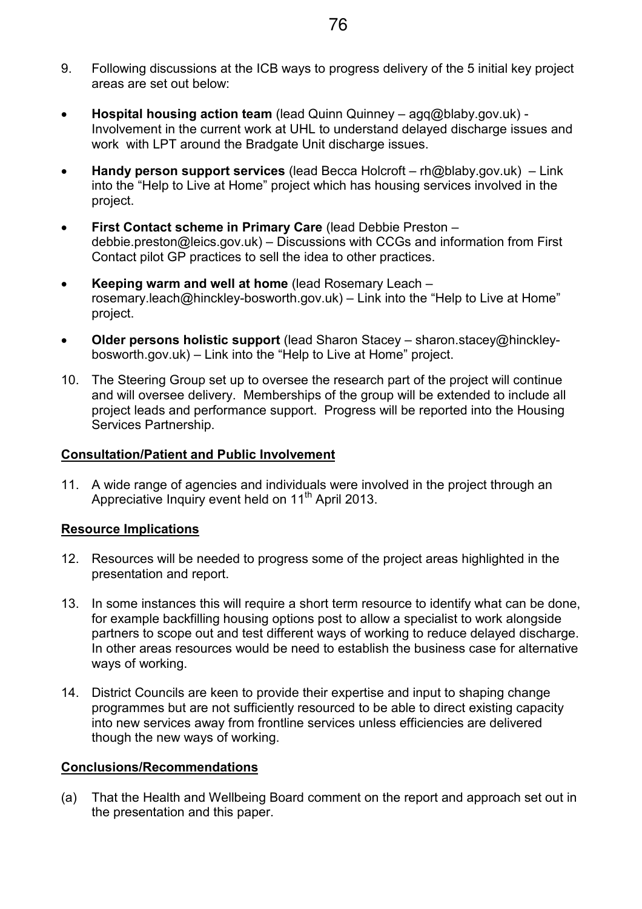- 9. Following discussions at the ICB ways to progress delivery of the 5 initial key project areas are set out below:
- **Hospital housing action team** (lead Quinn Quinney agq@blaby.gov.uk) Involvement in the current work at UHL to understand delayed discharge issues and work with LPT around the Bradgate Unit discharge issues.
- **Handy person support services** (lead Becca Holcroft rh@blaby.gov.uk) Link into the "Help to Live at Home" project which has housing services involved in the project.
- **First Contact scheme in Primary Care** (lead Debbie Preston debbie.preston@leics.gov.uk) – Discussions with CCGs and information from First Contact pilot GP practices to sell the idea to other practices.
- **Keeping warm and well at home** (lead Rosemary Leach rosemary.leach@hinckley-bosworth.gov.uk) – Link into the "Help to Live at Home" project.
- **Older persons holistic support** (lead Sharon Stacey sharon.stacey@hinckleybosworth.gov.uk) – Link into the "Help to Live at Home" project.
- 10. The Steering Group set up to oversee the research part of the project will continue and will oversee delivery. Memberships of the group will be extended to include all project leads and performance support. Progress will be reported into the Housing Services Partnership.

## **Consultation/Patient and Public Involvement**

11. A wide range of agencies and individuals were involved in the project through an Appreciative Inquiry event held on  $11<sup>th</sup>$  April 2013.

## **Resource Implications**

- 12. Resources will be needed to progress some of the project areas highlighted in the presentation and report.
- 13. In some instances this will require a short term resource to identify what can be done, for example backfilling housing options post to allow a specialist to work alongside partners to scope out and test different ways of working to reduce delayed discharge. In other areas resources would be need to establish the business case for alternative ways of working.
- 14. District Councils are keen to provide their expertise and input to shaping change programmes but are not sufficiently resourced to be able to direct existing capacity into new services away from frontline services unless efficiencies are delivered though the new ways of working.

## **Conclusions/Recommendations**

(a) That the Health and Wellbeing Board comment on the report and approach set out in the presentation and this paper.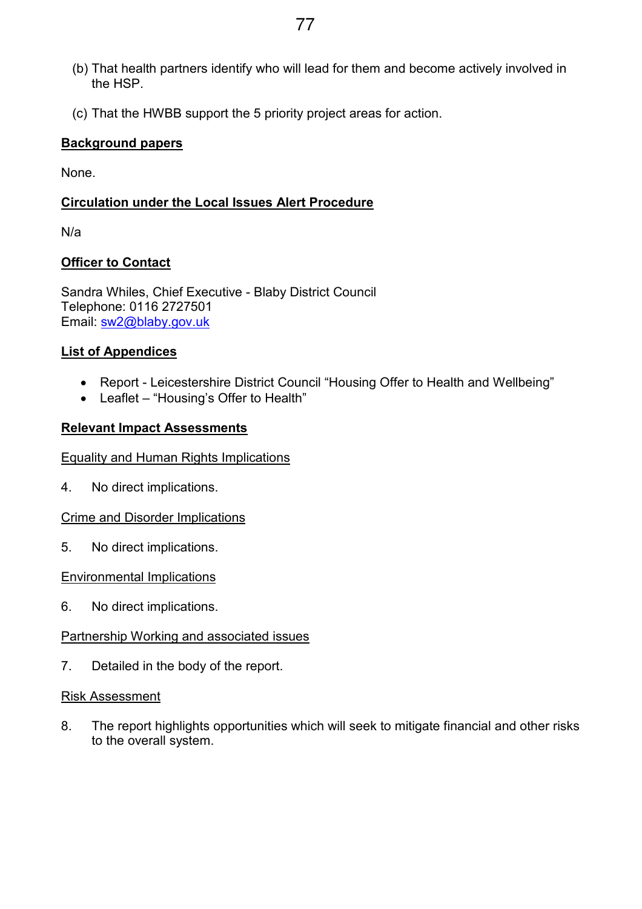- (b) That health partners identify who will lead for them and become actively involved in the HSP.
- (c) That the HWBB support the 5 priority project areas for action.

## **Background papers**

None.

## **Circulation under the Local Issues Alert Procedure**

N/a

## **Officer to Contact**

Sandra Whiles, Chief Executive - Blaby District Council Telephone: 0116 2727501 Email: sw2@blaby.gov.uk

## **List of Appendices**

- Report Leicestershire District Council "Housing Offer to Health and Wellbeing"
- Leaflet "Housing's Offer to Health"

## **Relevant Impact Assessments**

## Equality and Human Rights Implications

4. No direct implications.

Crime and Disorder Implications

5. No direct implications.

## Environmental Implications

6. No direct implications.

## Partnership Working and associated issues

7. Detailed in the body of the report.

## Risk Assessment

8. The report highlights opportunities which will seek to mitigate financial and other risks to the overall system.